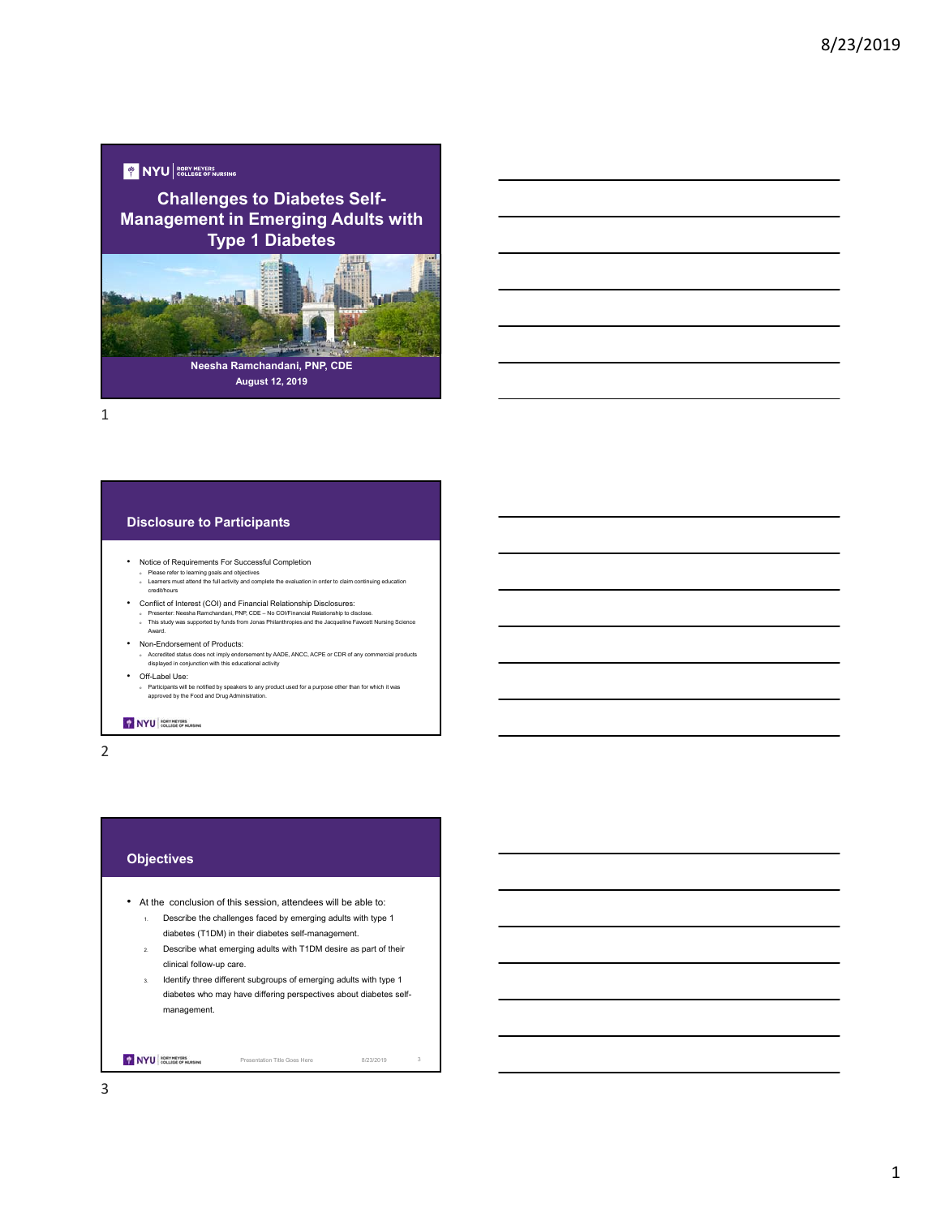## **Y** NYU EORY MEYERS

**Challenges to Diabetes Self-Management in Emerging Adults with Type 1 Diabetes**



1

#### **Disclosure to Participants**

- Notice of Requirements For Successful Completion
- <sup>o</sup> Please refer to learning goals and objectives <sup>o</sup> Learners must attend the full activity and complete the evaluation in order to claim continuing education credit/hours
- 
- Conflict of Interest (COI) and Financial Relationship Disclosures:<br>Presenter: Neesha Ramchandani, PNP, CDE No COUFinancial Relationship to disclose.<br>This study was supported by funds from Jonas Philanthropies and the
- Non-Endorsement of Products:
	- <sup>o</sup> Accredited status does not imply endorsement by AADE, ANCC, ACPE or CDR of any commercial products displayed in conjunction with this educational activity
- Off-Label Use:

Award.

<sup>o</sup> Participants will be notified by speakers to any product used for a purpose other than for which it was approved by the Food and Drug Administration.

#### NYU RORY MEVERS

2

## **Objectives**

- At the conclusion of this session, attendees will be able to:
	- 1. Describe the challenges faced by emerging adults with type 1 diabetes (T1DM) in their diabetes self-management.
	- 2. Describe what emerging adults with T1DM desire as part of their clinical follow-up care.
	- 3. Identify three different subgroups of emerging adults with type 1 diabetes who may have differing perspectives about diabetes selfmanagement.

NYU ROEV MEVERS

Presentation Title Goes Here 8/23/2019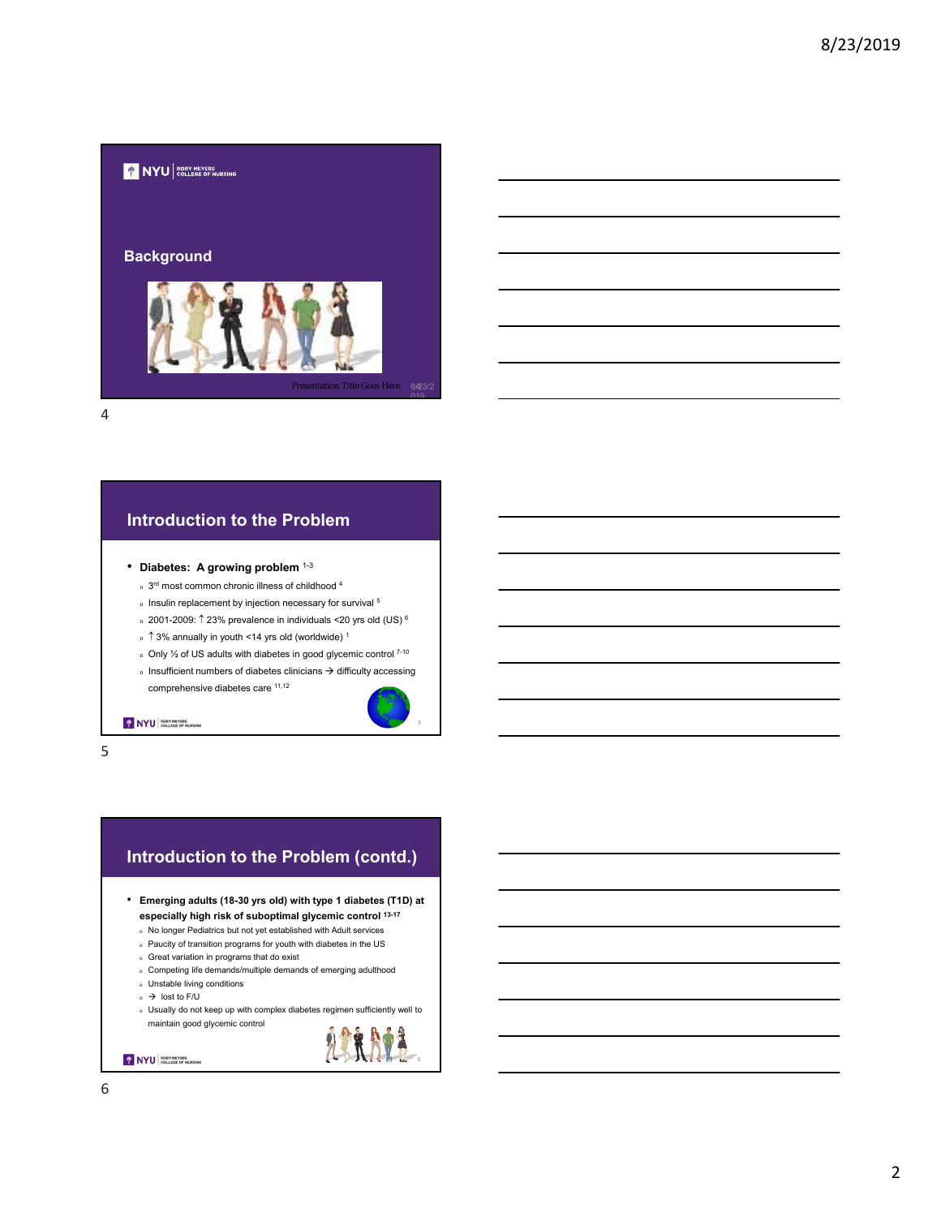

## **Introduction to the Problem**

- **Diabetes: A growing problem** 1-3
	- $\,$  3<sup>rd</sup> most common chronic illness of childhood <sup>4</sup>
	- $\scriptstyle\rm o$  Insulin replacement by injection necessary for survival  $^5$
	- $\,$  2001-2009:  $\uparrow$  23% prevalence in individuals <20 yrs old (US)  $^6$
	- $\frac{1}{2}$   $\uparrow$  3% annually in youth <14 yrs old (worldwide) <sup>1</sup>
	- $\circ$  Only  $\frac{1}{2}$  of US adults with diabetes in good glycemic control  $7-10$
	- $\delta$  Insufficient numbers of diabetes clinicians  $\rightarrow$  difficulty accessing comprehensive diabetes care 11,12



6

NYU COLLEGE OF HURSING

5

## **Introduction to the Problem (contd.)**

```
• Emerging adults (18-30 yrs old) with type 1 diabetes (T1D) at 
  especially high risk of suboptimal glycemic control 13-17
```
- <sup>o</sup> No longer Pediatrics but not yet established with Adult services
- <sup>o</sup> Paucity of transition programs for youth with diabetes in the US
- <sup>o</sup> Great variation in programs that do exist
- <sup>o</sup> Competing life demands/multiple demands of emerging adulthood
- <sup>o</sup> Unstable living conditions
- $\circ$   $\rightarrow$  lost to F/U
- <sup>o</sup> Usually do not keep up with complex diabetes regimen sufficiently well to maintain good glycemic control

NYU COLLEGE OF HURSING

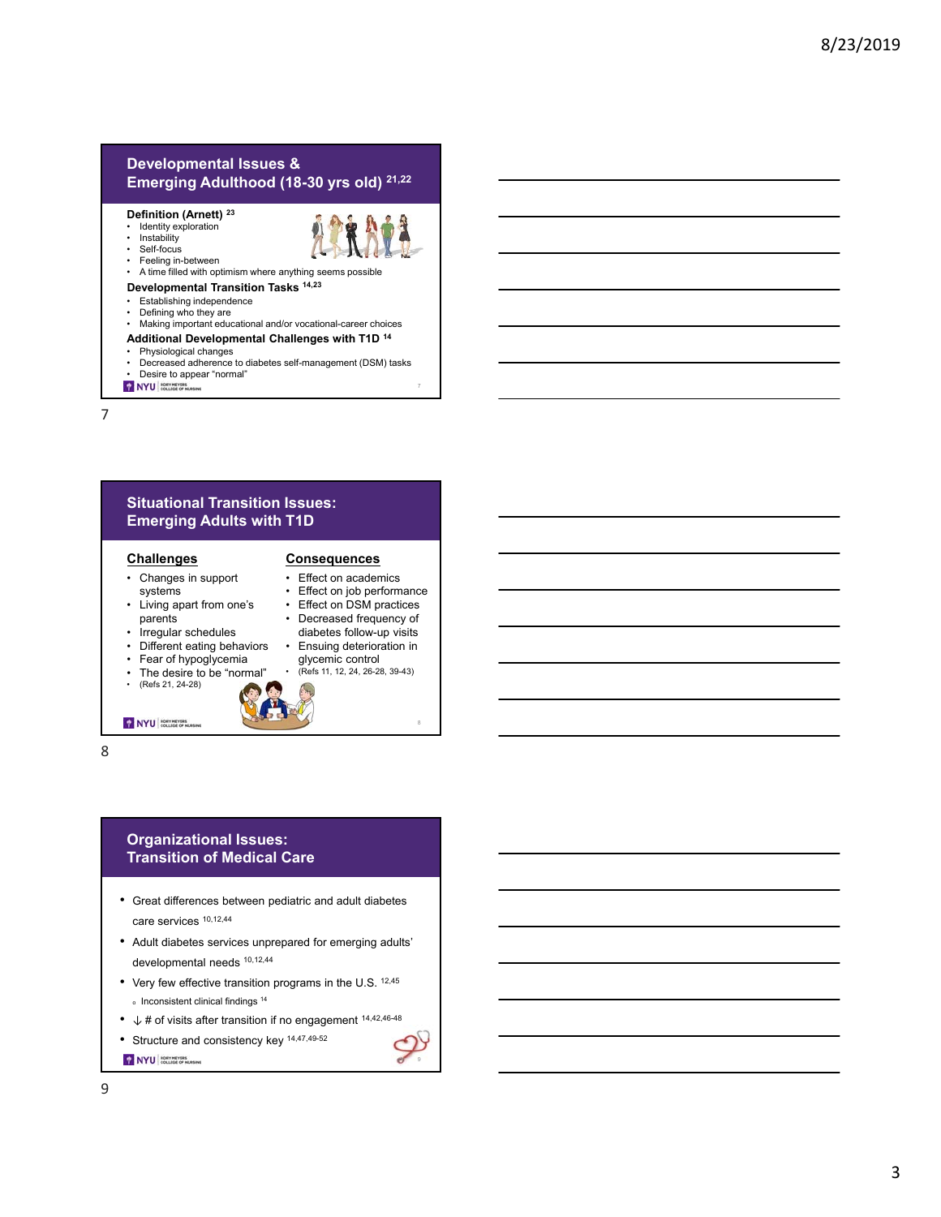## **Developmental Issues & Emerging Adulthood (18-30 yrs old) 21,22**

#### **Definition (Arnett) 23**

• Feeling in-between

Identity exploration



- 
- A time filled with optimism where anything seems possible

## **Developmental Transition Tasks 14,23**

- Establishing independence
- Defining who they are
- Making important educational and/or vocational-career choices

## **Additional Developmental Challenges with T1D 14**

- Physiological changes • Decreased adherence to diabetes self-management (DSM) tasks
- Desire to appear "normal"<br>• NYU **COLLEGE**
- 

7

## **Situational Transition Issues: Emerging Adults with T1D**

#### **Challenges**

- Changes in support systems
- Living apart from one's parents
- Irregular schedules
- Different eating behaviors
- 
- Fear of hypoglycemia The desire to be "normal"
- (Refs 21, 24-28)

#### **Consequences** • Effect on academics

- Effect on job performance
- Effect on DSM practices
- Decreased frequency of diabetes follow-up visits
- Ensuing deterioration in glycemic control • (Refs 11, 12, 24, 26-28, 39-43)
- 

NYU BORY MEYERS

8

## **Organizational Issues: Transition of Medical Care**

- Great differences between pediatric and adult diabetes care services 10,12,44
- Adult diabetes services unprepared for emerging adults' developmental needs 10,12,44
- Very few effective transition programs in the U.S. 12,45  $\degree$  Inconsistent clinical findings  $^{14}$
- ↓ # of visits after transition if no engagement 14,42,46-48
- Structure and consistency key 14,47,49-52
- NYU BORY HEYERS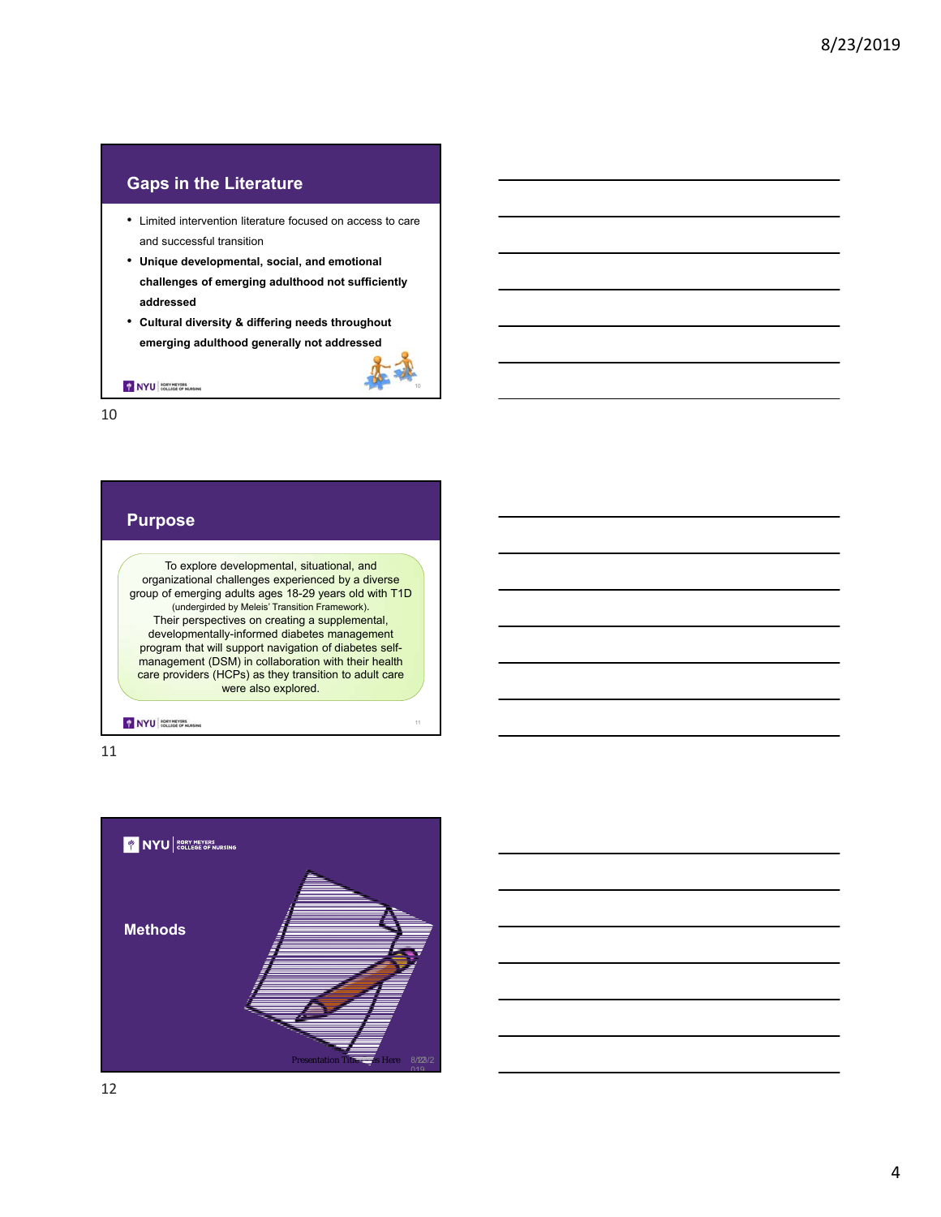## **Gaps in the Literature**

- Limited intervention literature focused on access to care and successful transition
- **Unique developmental, social, and emotional challenges of emerging adulthood not sufficiently addressed**
- **Cultural diversity & differing needs throughout emerging adulthood generally not addressed**

NYU BORY MEYERS

10

## **Purpose**

To explore developmental, situational, and organizational challenges experienced by a diverse group of emerging adults ages 18-29 years old with T1D (undergirded by Meleis' Transition Framework). Their perspectives on creating a supplemental, developmentally-informed diabetes management program that will support navigation of diabetes selfmanagement (DSM) in collaboration with their health care providers (HCPs) as they transition to adult care were also explored.

NYU RORY MEVERS



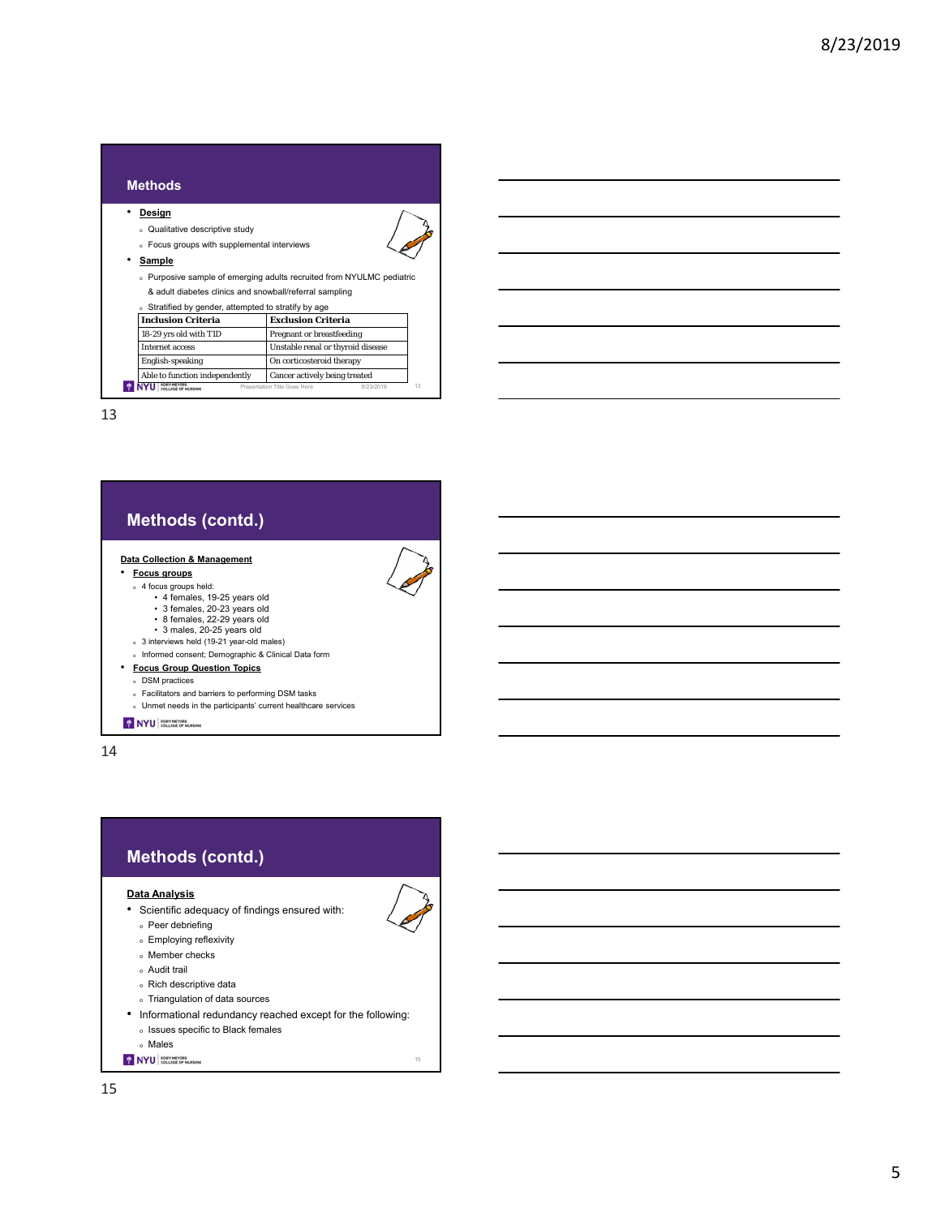| <b>Methods</b>                                                                 |                                   |  |  |  |  |
|--------------------------------------------------------------------------------|-----------------------------------|--|--|--|--|
| <u>Design</u>                                                                  |                                   |  |  |  |  |
| Qualitative descriptive study                                                  |                                   |  |  |  |  |
| Focus groups with supplemental interviews                                      |                                   |  |  |  |  |
| Sample                                                                         |                                   |  |  |  |  |
| Purposive sample of emerging adults recruited from NYULMC pediatric<br>$\circ$ |                                   |  |  |  |  |
| & adult diabetes clinics and snowball/referral sampling                        |                                   |  |  |  |  |
| Stratified by gender, attempted to stratify by age                             |                                   |  |  |  |  |
| <b>Inclusion Criteria</b>                                                      | <b>Exclusion Criteria</b>         |  |  |  |  |
| 18-29 yrs old with T1D                                                         | Pregnant or breastfeeding         |  |  |  |  |
| <b>Internet access</b>                                                         | Unstable renal or thyroid disease |  |  |  |  |
| <b>English-speaking</b>                                                        | On corticosteroid therapy         |  |  |  |  |
| Able to function independently                                                 | Cancer actively being treated     |  |  |  |  |
| 13<br>Presentation Title Goes Here<br>8/23/2019                                |                                   |  |  |  |  |

## **Methods (contd.)**

#### **Data Collection & Management**

- **Focus groups**
	- <sup>o</sup> 4 focus groups held:
	- 4 females, 19-25 years old 3 females, 20-23 years old 8 females, 22-29 years old 3 males, 20-25 years old <sup>o</sup> 3 interviews held (19-21 year-old males)
		-
		-
	-
	- <sup>o</sup> Informed consent; Demographic & Clinical Data form
- **Focus Group Question Topics** 
	- <sup>o</sup> DSM practices
	- <sup>o</sup> Facilitators and barriers to performing DSM tasks
	- <sup>o</sup> Unmet needs in the participants' current healthcare services

## NYU COLLEGE OF HURSING



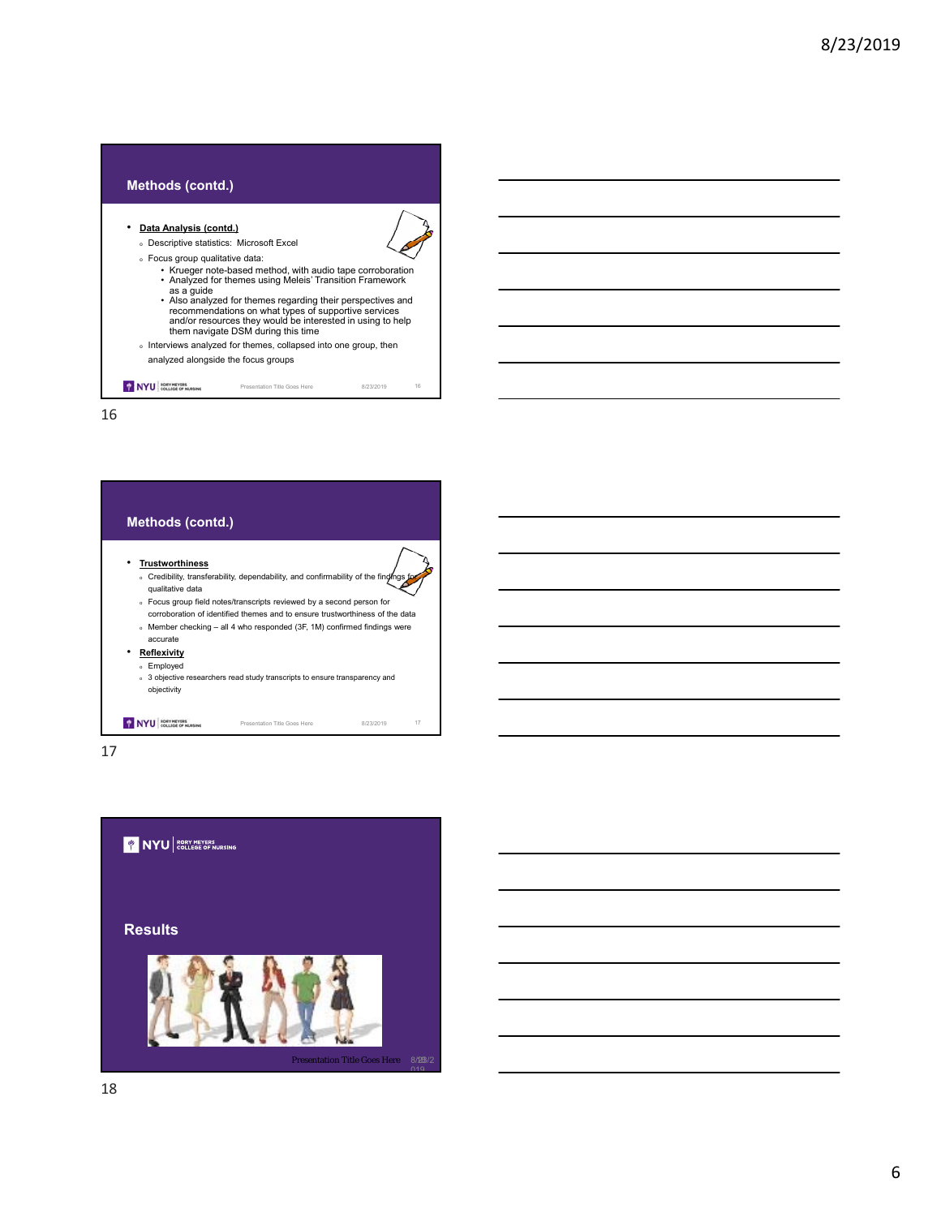## **Methods (contd.)** • **Data Analysis (contd.)**  <sup>o</sup> Descriptive statistics: Microsoft Excel <sup>o</sup> Focus group qualitative data: • Krueger note-based method, with audio tape corroboration • Analyzed for themes using Meleis' Transition Framework as a guide<br>• Also analyzed for themes regarding their perspectives and<br>recommendations on what types of supportive services<br>and/or resources they would be interested in using to help<br>them navigate DSM during this time <sup>o</sup> Interviews analyzed for themes, collapsed into one group, then analyzed alongside the focus groups NYU COLLEGE OF RURSING Presentation Title Goes Here 8/23/2019 16

16



17

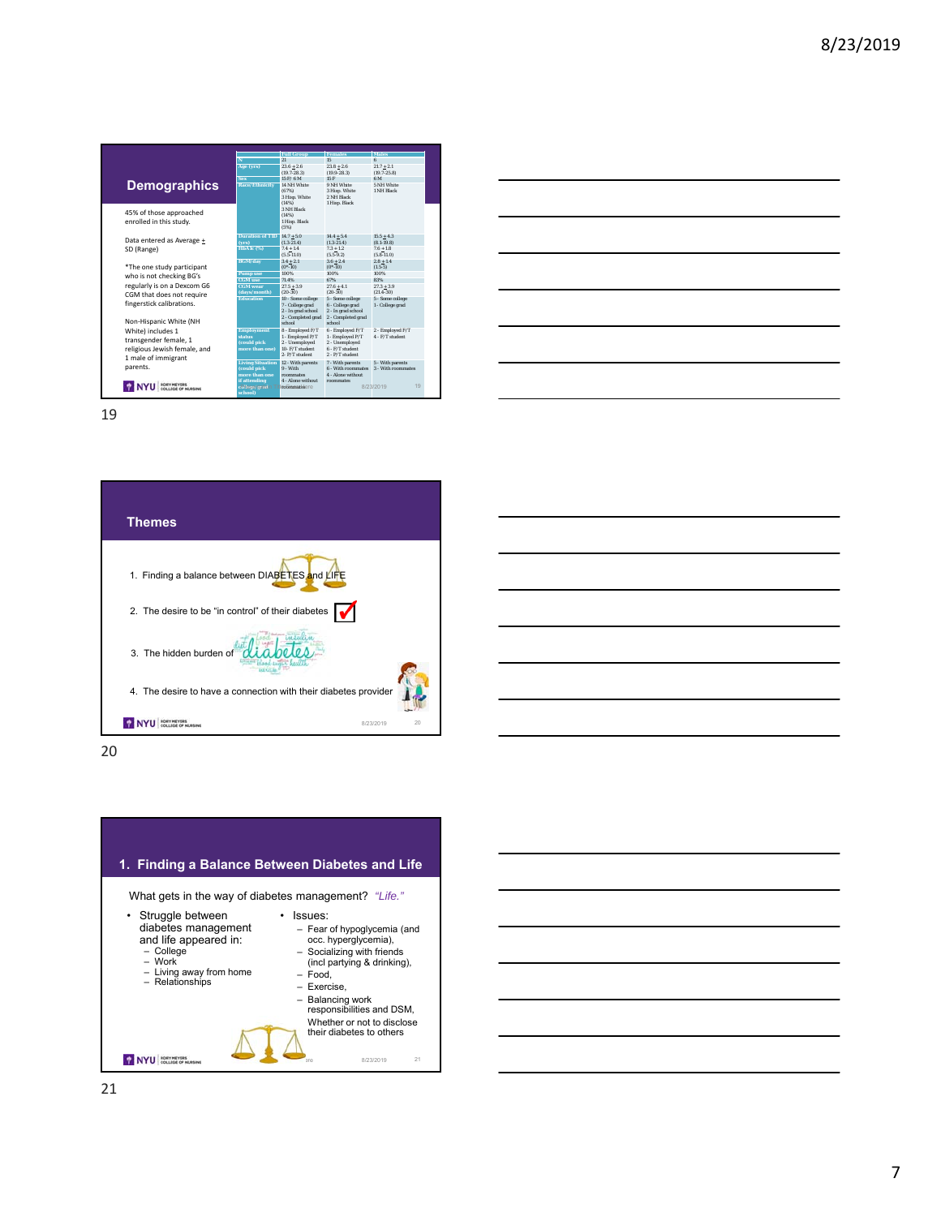|                              |                                    | <b>Full Group</b>                        | <b>Females</b><br>15                     | <b>Males</b>                    |
|------------------------------|------------------------------------|------------------------------------------|------------------------------------------|---------------------------------|
|                              | N                                  | 21                                       |                                          | R                               |
|                              | Age (yrs)                          | $23.6 + 2.6$<br>$(19.7 - 28.3)$          | $23.8 + 2.6$<br>$(19.9 - 28.3)$          | $21.7 + 2.1$<br>$(19.7 - 25.8)$ |
|                              | <b>Sex</b>                         | $15$ F/ $6$ M                            | 15F                                      | 6M                              |
| <b>Demographics</b>          | <b>Race/Ethnicity</b>              | 14 NH White                              | 9 NH White                               | 5 NH White                      |
|                              |                                    | (67%)                                    | 3 Hisp. White                            | 1 NH Black                      |
|                              |                                    | 3 Hisp. White                            | 2 NH Black                               |                                 |
|                              |                                    | (14%)                                    | 1 Hisp. Black                            |                                 |
| 45% of those approached      |                                    | 3 NH Black<br>(14%)                      |                                          |                                 |
| enrolled in this study.      |                                    | 1 Hisp. Black                            |                                          |                                 |
|                              |                                    | (5%)                                     |                                          |                                 |
|                              | Duration of T1D $14.7 + 5.0$       |                                          | $14.4 + 5.4$                             | $15.5 + 4.3$                    |
| Data entered as Average +    | (vrs)                              | $(1.3 - 21.4)$                           | $(1.3 - 21.4)$                           | $(8.1 - 19.8)$                  |
| SD (Range)                   | HbA1c (%)                          | $7.4 + 1.4$                              | $7.3 + 1.2$                              | $7.6 + 1.8$                     |
|                              |                                    | $(5.5-11.0)$                             | $(5.5-9.2)$                              | $(5.8 - 11.0)$                  |
|                              | <b>BGM/day</b>                     | $3.4 + 2.1$                              | $3.6 + 2.4$                              | $2.8 + 1.4$                     |
| *The one study participant   |                                    | $(0^* - 10)$<br>100%                     | $(0^* - 10)$<br>100%                     | $(1.5-5)$<br>100%               |
| who is not checking BG's     | <b>Pump</b> use<br><b>CGM</b> use  | 71.4%                                    | 67%                                      | 83%                             |
| regularly is on a Dexcom G6  | <b>CGM</b> wear                    | $27.5 + 3.9$                             | $27.6 + 4.1$                             | $27.3 + 3.9$                    |
| CGM that does not require    | (days/month)                       | $(20-30)$                                | $(20-30)$                                | $(21.4 - 30)$                   |
|                              | <b>Education</b>                   | 10 - Some college                        | 5 - Some college                         | 5 - Some college                |
| fingerstick calibrations.    |                                    | 7 - College grad                         | 6 - College grad                         | 1 - College grad                |
|                              |                                    | 2 - In grad school<br>2 - Completed grad | 2 - In grad school<br>2 - Completed grad |                                 |
| Non-Hispanic White (NH       |                                    | school                                   | school                                   |                                 |
| White) includes 1            | <b>Employment</b>                  | 8 - Employed F/T                         | 6 - Employed F/T                         | 2 - Employed F/T                |
| transgender female, 1        | status                             | 1 - Employed P/T                         | 1 - Employed P/T                         | $4$ - $F/T$ student             |
|                              | (could pick                        | 2 - Unemployed                           | 2 - Unemployed                           |                                 |
| religious Jewish female, and | more than one)                     | 10- F/T student<br>2-P/T student         | 6 - F/T student<br>2 - P/T student       |                                 |
| 1 male of immigrant          | Living Situation 12 - With parents |                                          | 7 - With parents                         | 5 - With parents                |
| parents.                     | (could pick                        | $9 - With$                               | 6 - With mommates                        | 3 - With roommates              |
|                              | more than one                      | roommates                                | 4 - Alone without                        |                                 |
|                              | if attending                       | 4 - Alone without                        | roommates                                |                                 |
|                              | conteserdedion Ti                  | roommatesere                             |                                          | 19<br>8/23/2019                 |
|                              | school)                            |                                          |                                          |                                 |



20



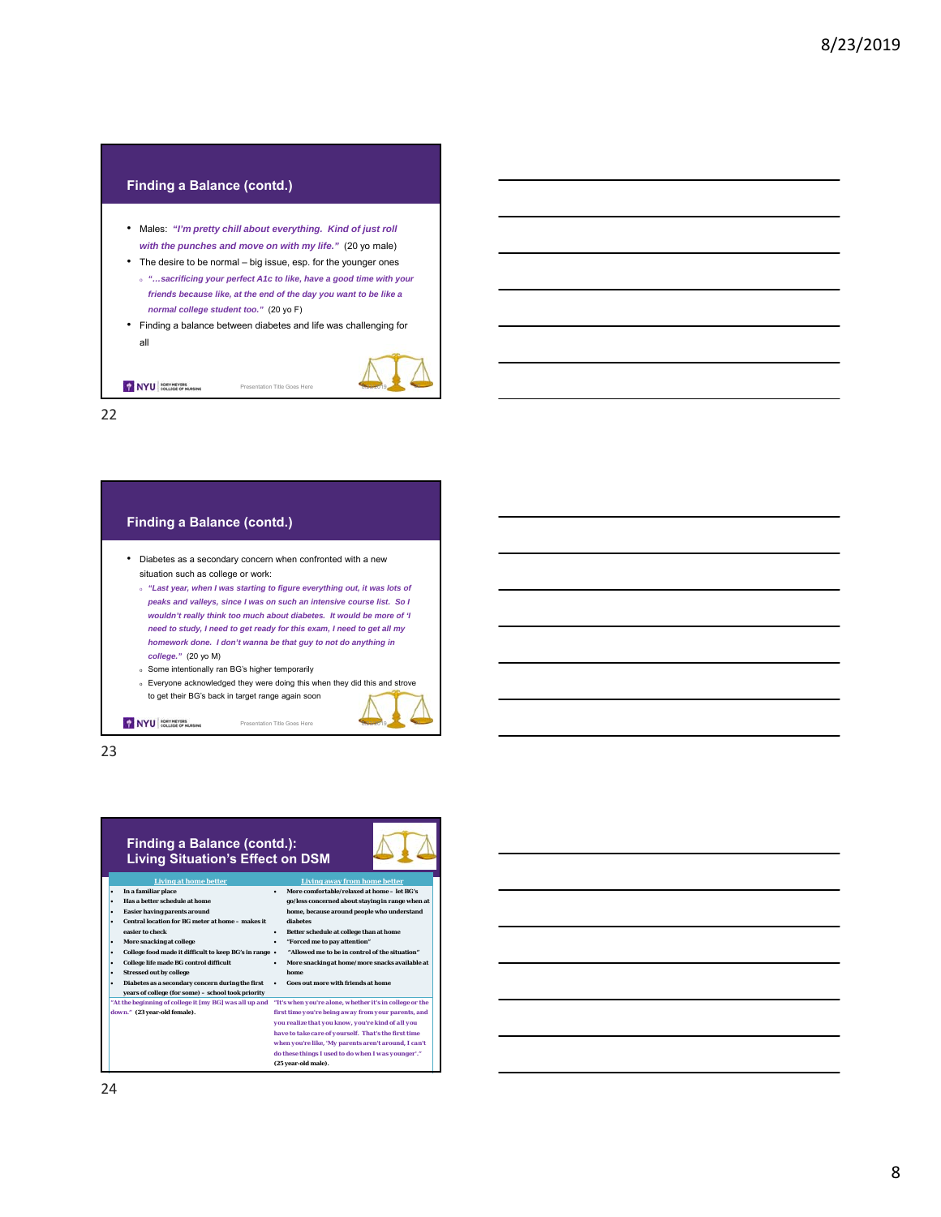



23

#### **Finding a Balance (contd.): Living Situation's Effect on DSM**



 **More comfortable/relaxed at home – let BG's go/less concerned about staying in range when at home, because around people who understand** 

- **Living at home better better**<br>**liar place home better In a familiar place**
- **Has a better schedule at home**
- **Easier having parents around Central location for BG meter at home makes it**
- **easier to check More snacking at college**
- **College food made it difficult to keep BG's in range College life made BG control difficult**
- **Stressed out by college**

*down."* **(23 year-old female).** 

- **Diabetes as a secondary concern during the first years of college (for some) – school took priority** *"At the beginning of college it [my BG] was all up and* 
	- **Goes out more with friends at home** *"It's when you're alone, whether it's in college or the first time you're being away from your parents, and you realize that you know, you're kind of all you*

**home**

**diabetes**

*do these things I used to do when I was younger'."*<br>... *have to take care of yourself. That's the first time when you're like, 'My parents aren't around, I can't*  **(25 year-old male).** 

 **Better schedule at college than at home "Forced me to pay attention" "Allowed me to be in control of the situation" More snacking at home/more snacks available at**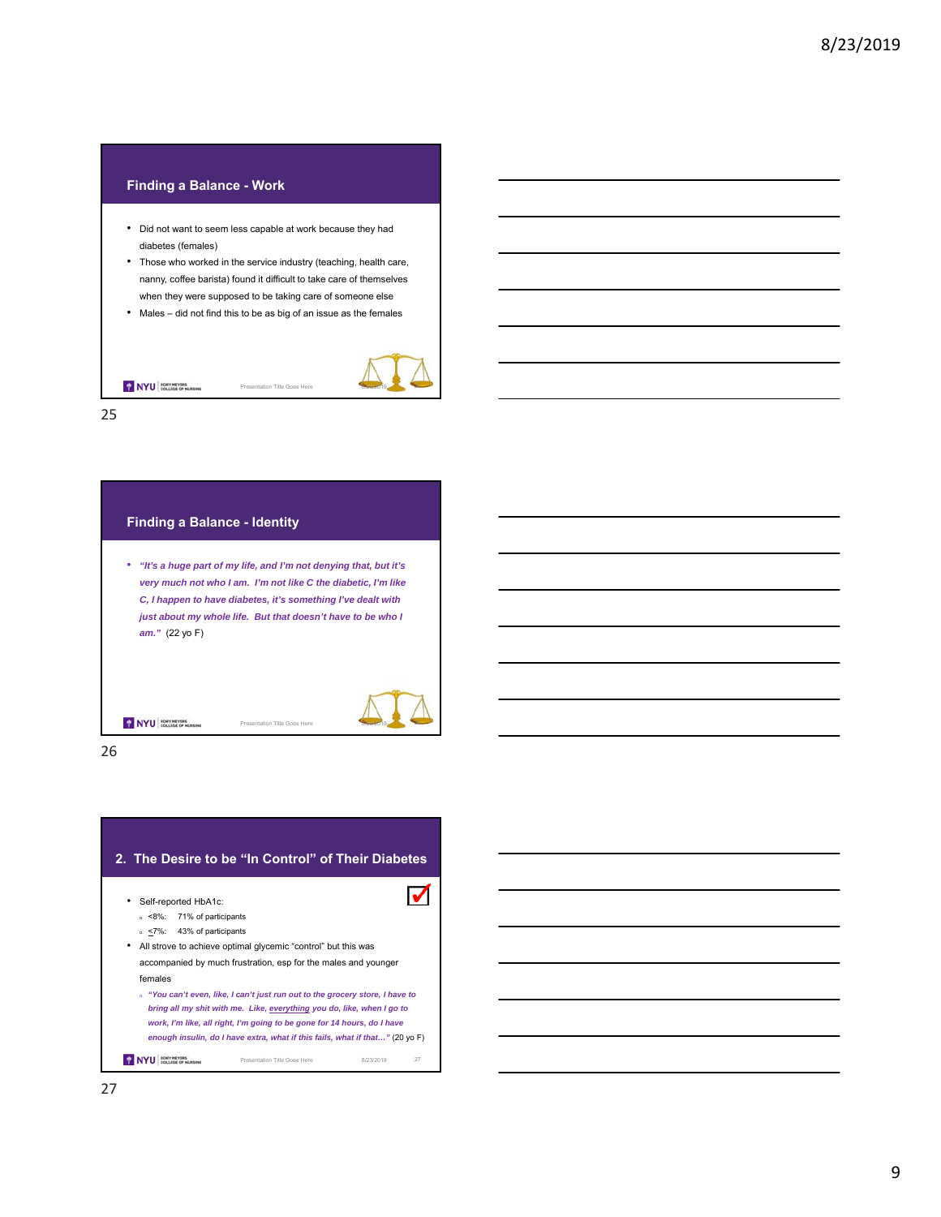# **Finding a Balance - Work** • Did not want to seem less capable at work because they had diabetes (females) • Those who worked in the service industry (teaching, health care, nanny, coffee barista) found it difficult to take care of themselves when they were supposed to be taking care of someone else • Males – did not find this to be as big of an issue as the females NYU RORY HEVERS Presentation Title Goes Here

25

| <b>Finding a Balance - Identity</b> |                                                                                                                                                                                                                                                                  |  |
|-------------------------------------|------------------------------------------------------------------------------------------------------------------------------------------------------------------------------------------------------------------------------------------------------------------|--|
| $am."$ (22 yo F)                    | "It's a huge part of my life, and I'm not denying that, but it's<br>very much not who I am. I'm not like C the diabetic, I'm like<br>C, I happen to have diabetes, it's something I've dealt with<br>just about my whole life. But that doesn't have to be who I |  |
|                                     | Presentation Title Goes Here                                                                                                                                                                                                                                     |  |

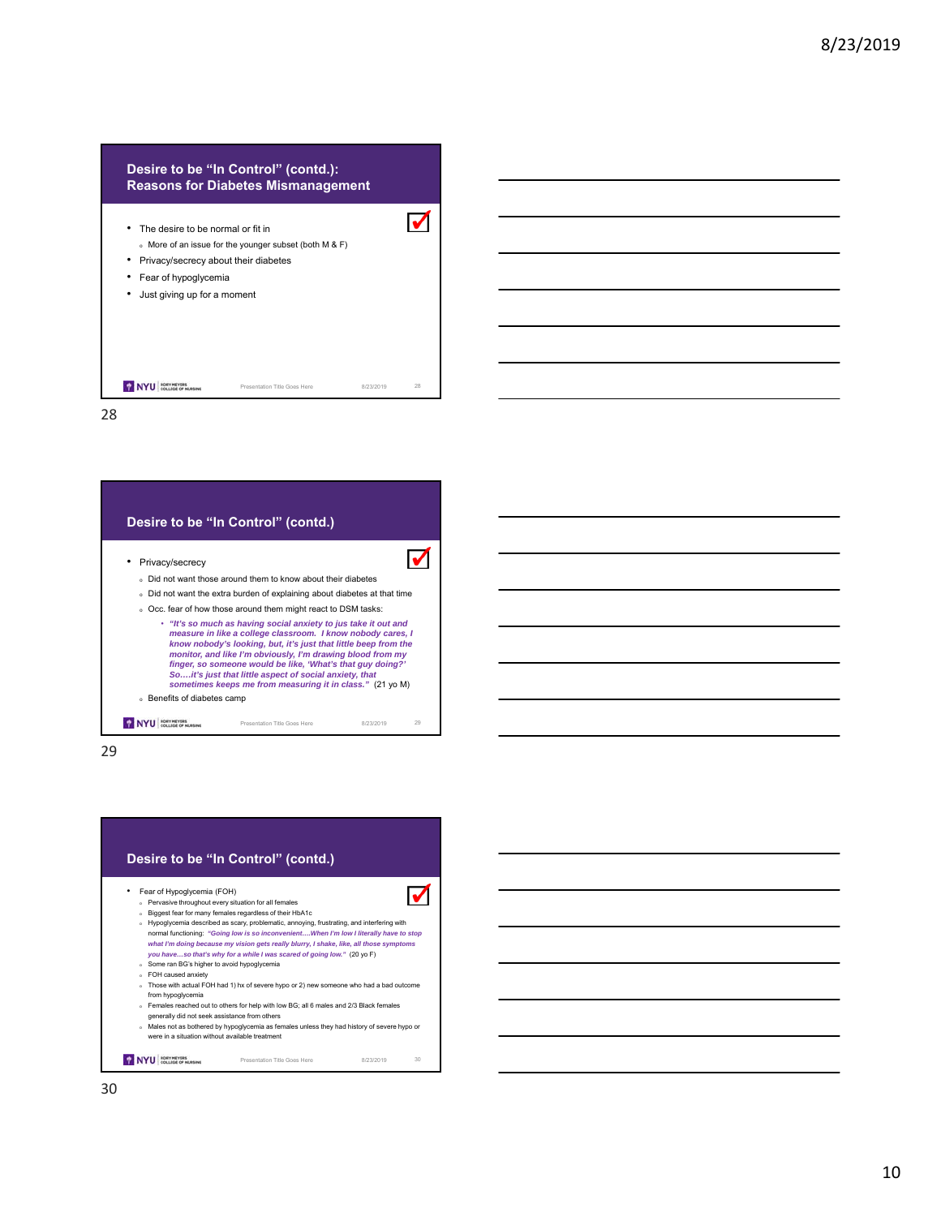## **Desire to be "In Control" (contd.): Reasons for Diabetes Mismanagement**



28



29

## **Desire to be "In Control" (contd.)**

#### • Fear of Hypoglycemia (FOH)

- <sup>o</sup> Pervasive throughout every situation for all females <sup>o</sup> Biggest fear for many females regardless of their HbA1c
- <sup>o</sup> Hypoglycemia described as scary, problematic, annoying, frustrating, and interfering with normal functioning: *"Going low is so inconvenient….When I'm low I literally have to stop*  what I'm doing because my vision gets really blurry, I shake, like, all those symptoms<br>you have…so that's why for a while I was scared of going low." (20 yo F) Some ran BG's higher to avoid hypoglycemia
- <sup>o</sup> FOH caused anxiety
- <sup>o</sup> Those with actual FOH had 1) hx of severe hypo or 2) new someone who had a bad outcome from hypoglycemia
- or Females reached out to others for help with low BG; all 6 males and 2/3 Black females
- generally did not seek assistance from others
- <sup>o</sup> Males not as bothered by hypoglycemia as females unless they had history of severe hypo or were in a situation without available treatment

Presentation Title Goes Here 8/23/2019 30

 $\blacktriangledown$ 

NYU ROEV MEVERS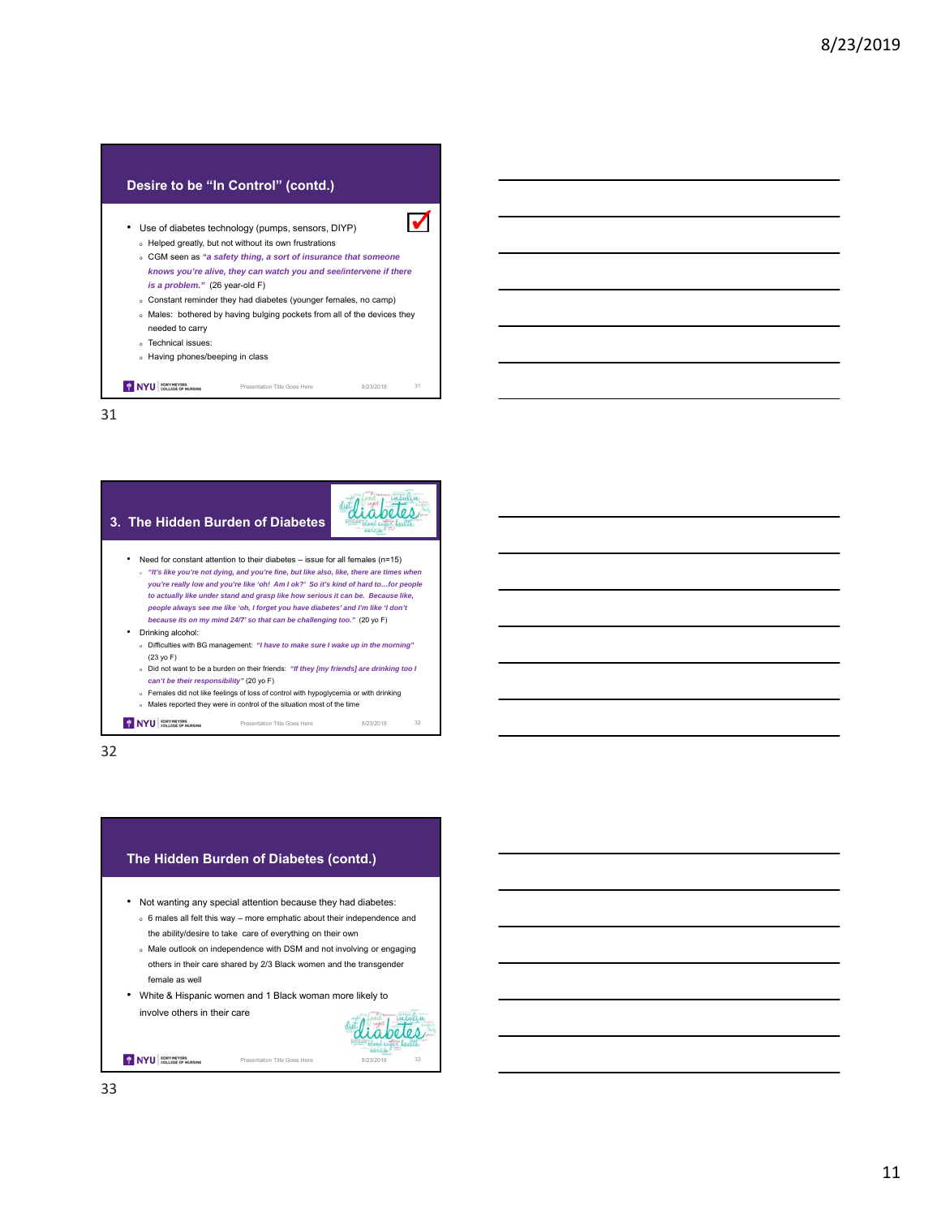## **Desire to be "In Control" (contd.)**

- Use of diabetes technology (pumps, sensors, DIYP) <sup>o</sup> Helped greatly, but not without its own frustrations <sup>o</sup> CGM seen as *"a safety thing, a sort of insurance that someone knows you're alive, they can watch you and see/intervene if there is a problem."* (26 year-old F)
	- <sup>o</sup> Constant reminder they had diabetes (younger females, no camp) <sup>o</sup> Males: bothered by having bulging pockets from all of the devices they

 $\blacktriangledown$ 

- needed to carry
- <sup>o</sup> Technical issues:
- <sup>o</sup> Having phones/beeping in class

NYU COLLEGE OF RURSING Presentation Title Goes Here 8/23/2019 31

31



32

#### **The Hidden Burden of Diabetes (contd.)**

- Not wanting any special attention because they had diabetes:
	- <sup>o</sup> 6 males all felt this way more emphatic about their independence and the ability/desire to take care of everything on their own
	- <sup>o</sup> Male outlook on independence with DSM and not involving or engaging others in their care shared by 2/3 Black women and the transgender female as well
- White & Hispanic women and 1 Black woman more likely to involve others in their care



NYU COLLEGE OF NURSING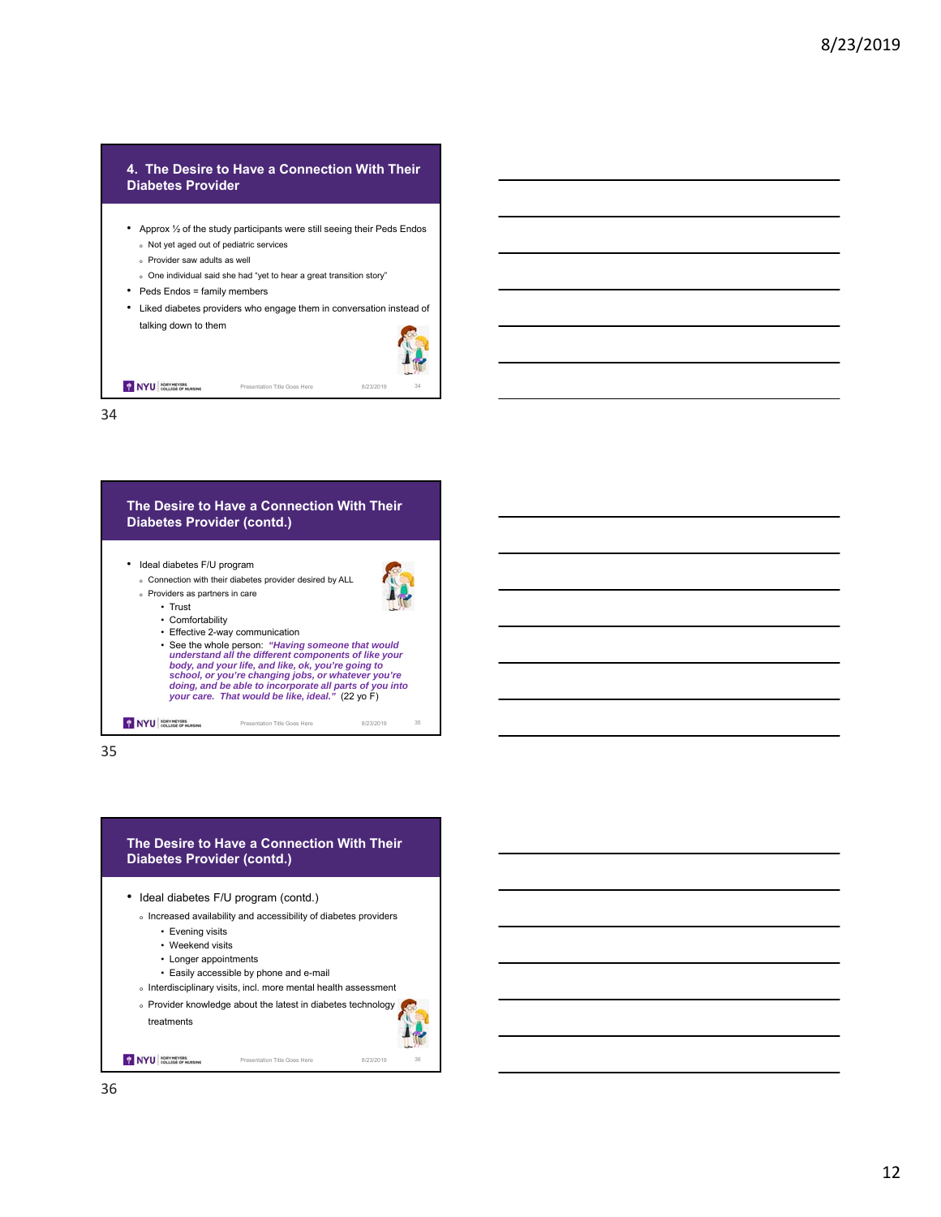## **4. The Desire to Have a Connection With Their Diabetes Provider**

- Approx ½ of the study participants were still seeing their Peds Endos <sup>o</sup> Not yet aged out of pediatric services
	- <sup>o</sup> Provider saw adults as well
	- <sup>o</sup> One individual said she had "yet to hear a great transition story"
- Peds Endos = family members
- Liked diabetes providers who engage them in conversation instead of talking down to them



34

NYU BORY MEYERS

## **The Desire to Have a Connection With Their Diabetes Provider (contd.)** • Ideal diabetes F/U program <sup>o</sup> Connection with their diabetes provider desired by ALL <sup>o</sup> Providers as partners in care • Trust • Comfortability • Effective 2-way communication • See the whole person: *"Having someone that would understand all the different components of like your body, and your life, and like, ok, you're going to school, or you're changing jobs, or whatever you're doing, and be able to incorporate all parts of you into your care. That would be like, ideal."* (22 yo F) NYU RORY MEYERS Presentation Title Goes Here 8/23/2019 35

35

## **The Desire to Have a Connection With Their Diabetes Provider (contd.)**

• Ideal diabetes F/U program (contd.)

- <sup>o</sup> Increased availability and accessibility of diabetes providers
	- Evening visits
	- Weekend visits
	- Longer appointments
	- Easily accessible by phone and e-mail
- <sup>o</sup> Interdisciplinary visits, incl. more mental health assessment
- $\circ$  Provider knowledge about the latest in diabetes technology

Presentation Title Goes Here 8/23/2019



NYU BORY MEYERS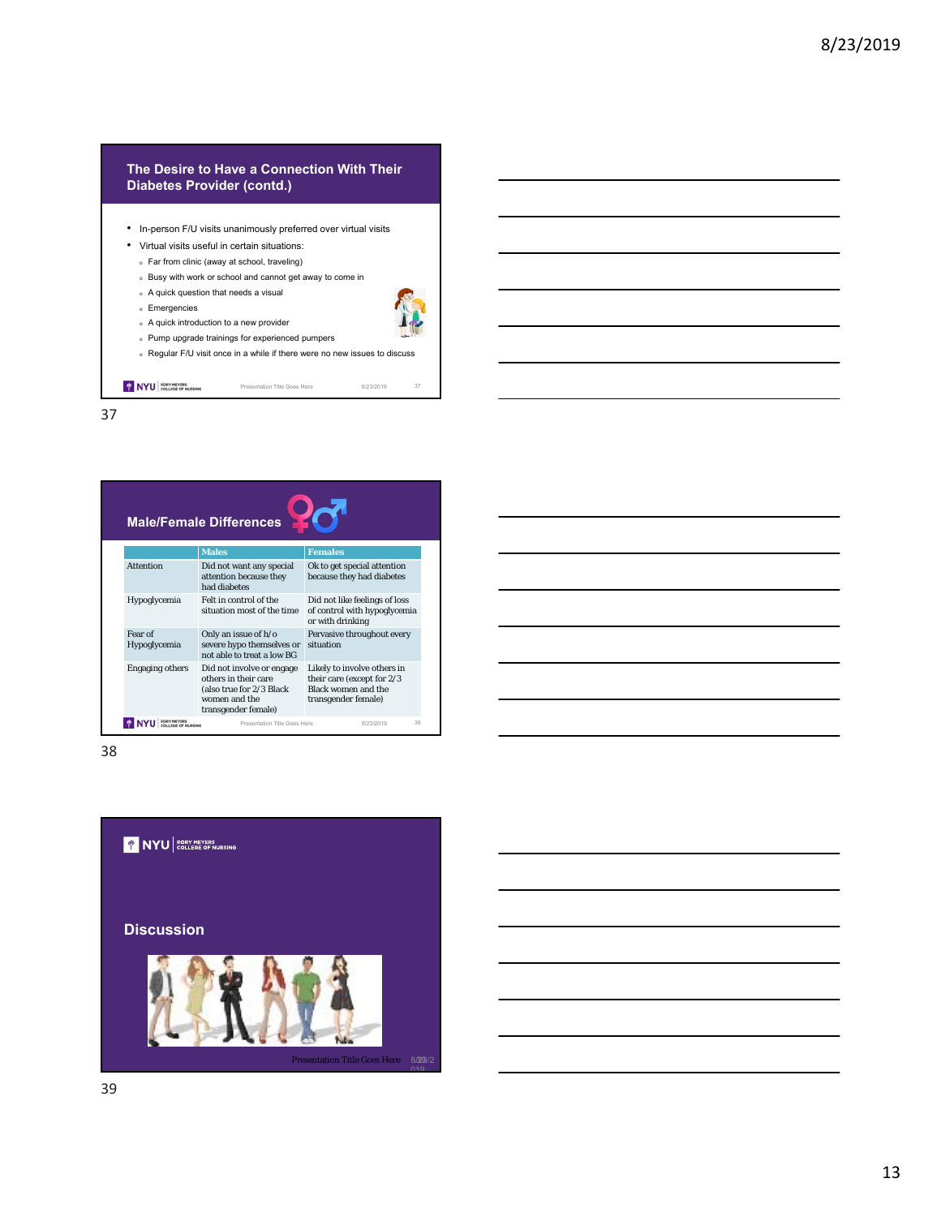## **The Desire to Have a Connection With Their Diabetes Provider (contd.)**

• In-person F/U visits unanimously preferred over virtual visits

<sup>o</sup> Regular F/U visit once in a while if there were no new issues to discuss

Presentation Title Goes Here 8/23/2019 37

- Virtual visits useful in certain situations:
	- <sup>o</sup> Far from clinic (away at school, traveling)
	- <sup>o</sup> Busy with work or school and cannot get away to come in

<sup>o</sup> Pump upgrade trainings for experienced pumpers

- <sup>o</sup> A quick question that needs a visual <sup>o</sup> A quick introduction to a new provider
- <sup>o</sup> Emergencies

NYU COLLEGE OF NURSING

37



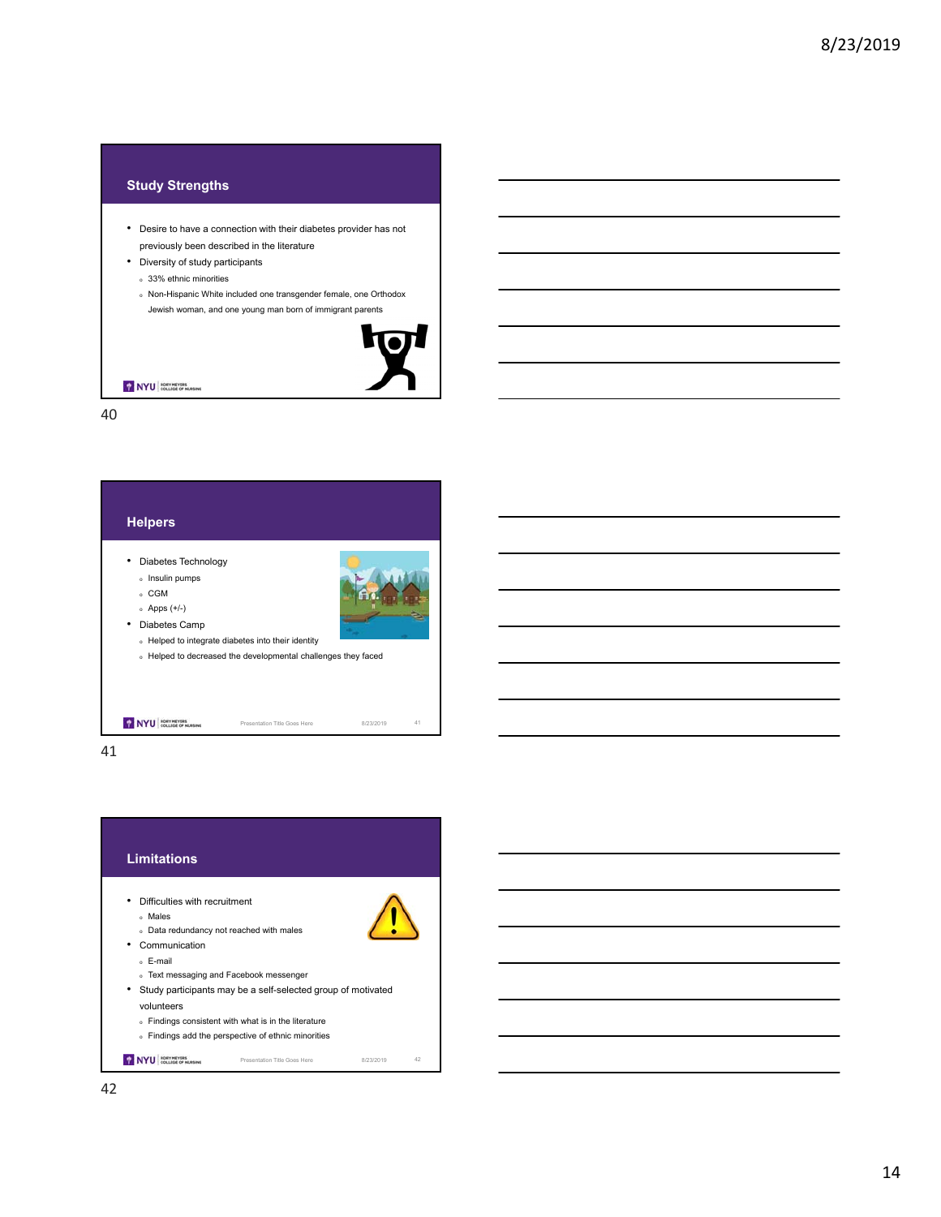## **Study Strengths**

- Desire to have a connection with their diabetes provider has not previously been described in the literature
- Diversity of study participants
	- <sup>o</sup> 33% ethnic minorities
	- <sup>o</sup> Non-Hispanic White included one transgender female, one Orthodox
	- Jewish woman, and one young man born of immigrant parents



NYU RORY MEYERS

40



41

#### **Limitations**

- Difficulties with recruitment
	- <sup>o</sup> Males
	- <sup>o</sup> Data redundancy not reached with males
- Communication
	- <sup>o</sup> E-mail
	- <sup>o</sup> Text messaging and Facebook messenger
- Study participants may be a self-selected group of motivated volunteers
	- <sup>o</sup> Findings consistent with what is in the literature
	- <sup>o</sup> Findings add the perspective of ethnic minorities

Presentation Title Goes Here 8/23/2019 42 NYU ROEV MEVERS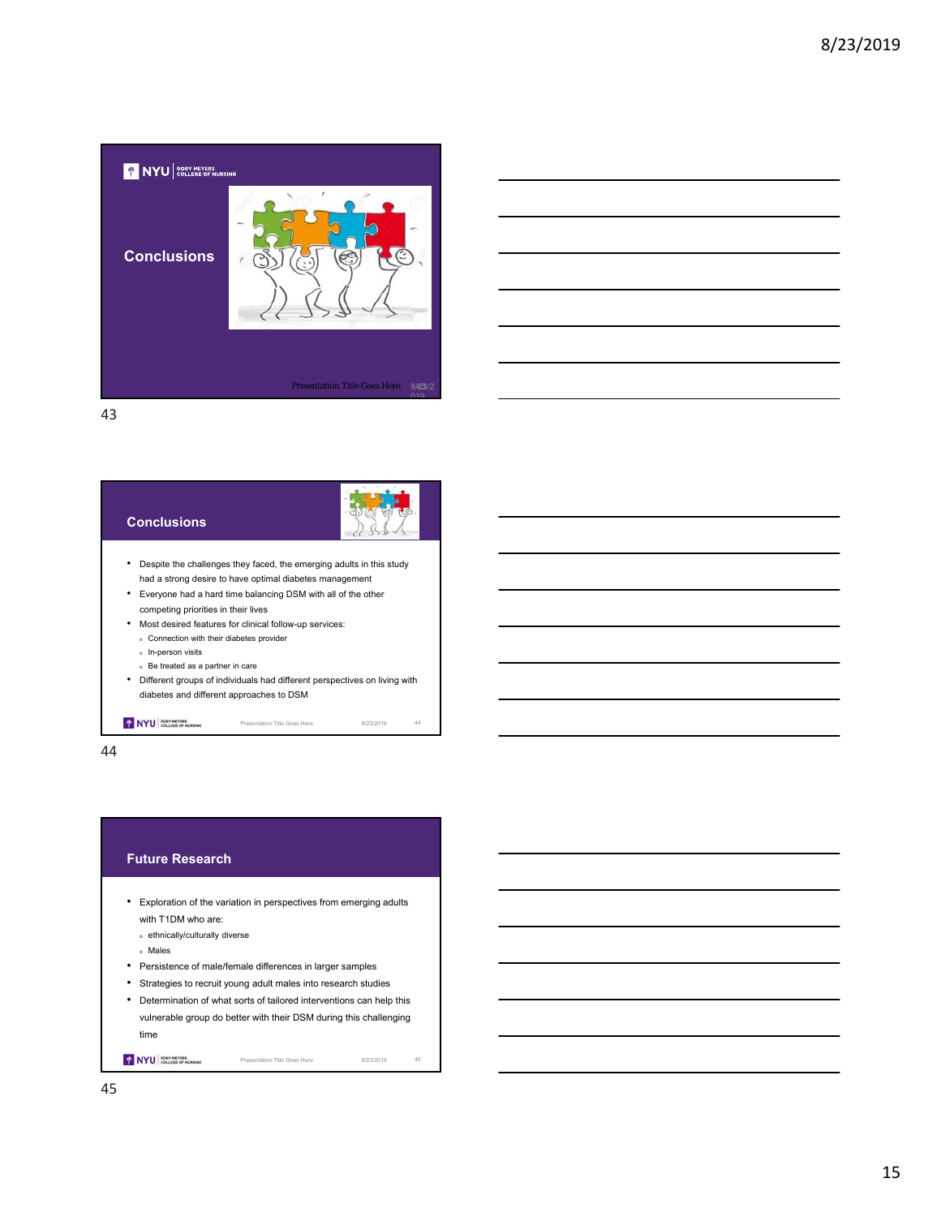

# **Conclusions**



- Despite the challenges they faced, the emerging adults in this study had a strong desire to have optimal diabetes management
- Everyone had a hard time balancing DSM with all of the other competing priorities in their lives
- Most desired features for clinical follow-up services:
	- <sup>o</sup> Connection with their diabetes provider
- <sup>o</sup> In-person visits

NYU RORY MEYERS

- <sup>o</sup> Be treated as a partner in care
- Different groups of individuals had different perspectives on living with diabetes and different approaches to DSM

Presentation Title Goes Here 8/23/2019 44

44

## **Future Research**

- Exploration of the variation in perspectives from emerging adults with T1DM who are:
	- <sup>o</sup> ethnically/culturally diverse

<sup>o</sup> Males

- Persistence of male/female differences in larger samples
- Strategies to recruit young adult males into research studies
- Determination of what sorts of tailored interventions can help this vulnerable group do better with their DSM during this challenging time

Presentation Title Goes Here 8/23/2019 45

NYU ROEV MEVERS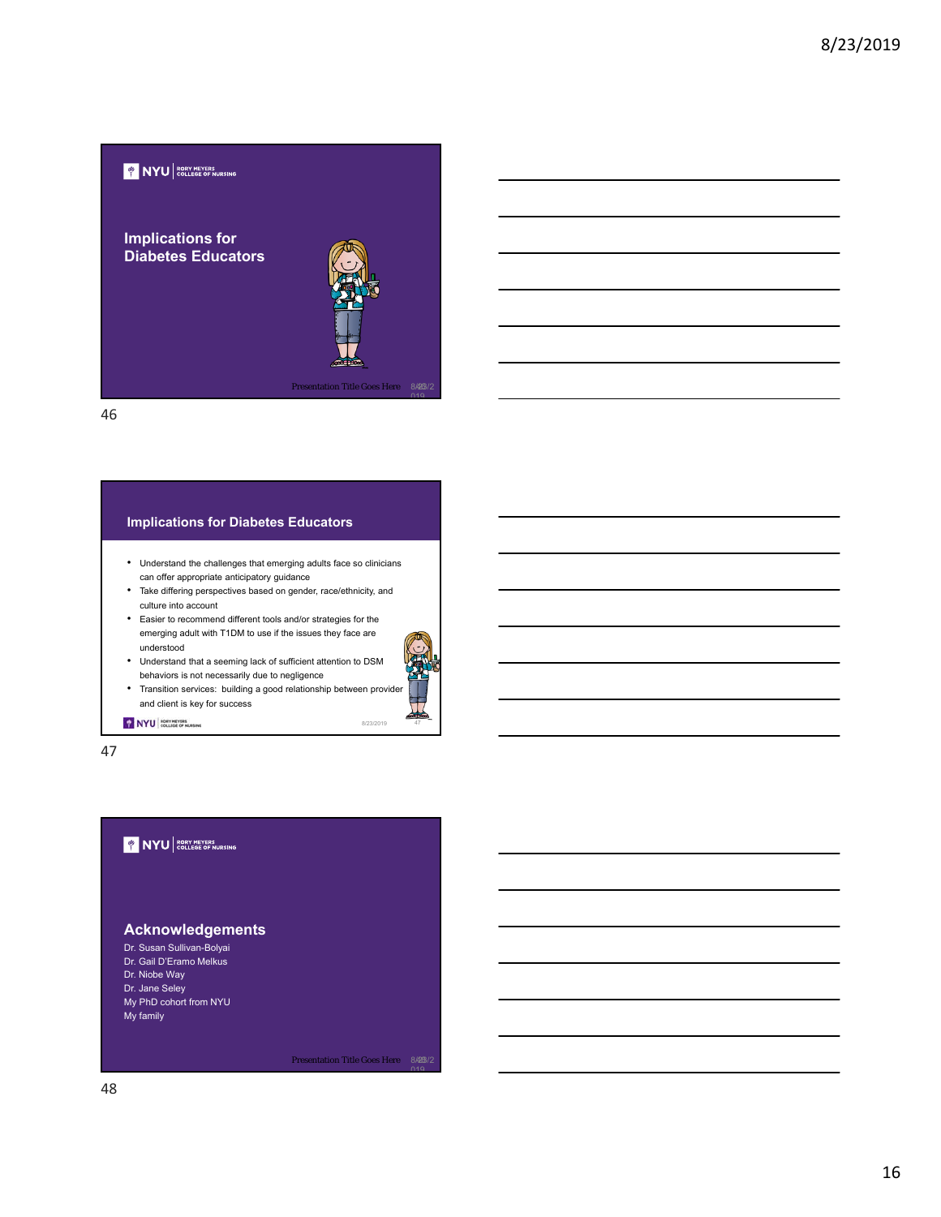

## • Understand the challenges that emerging adults face so clinicians can offer appropriate anticipatory guidance • Take differing perspectives based on gender, race/ethnicity, and culture into account • Easier to recommend different tools and/or strategies for the emerging adult with T1DM to use if the issues they face are understood • Understand that a seeming lack of sufficient attention to DSM behaviors is not necessarily due to negligence **Implications for Diabetes Educators**



8/23/2019

NYU ROKY MEVERS

47

## **WINYU** RORY MEYERS

and client is key for success

## **Acknowledgements**

- Dr. Susan Sullivan-Bolyai
- Dr. Gail D'Eramo Melkus
- Dr. Niobe Way
- Dr. Jane Seley
- My PhD cohort from NYU My family

Presentation Title Goes Here 8/23/2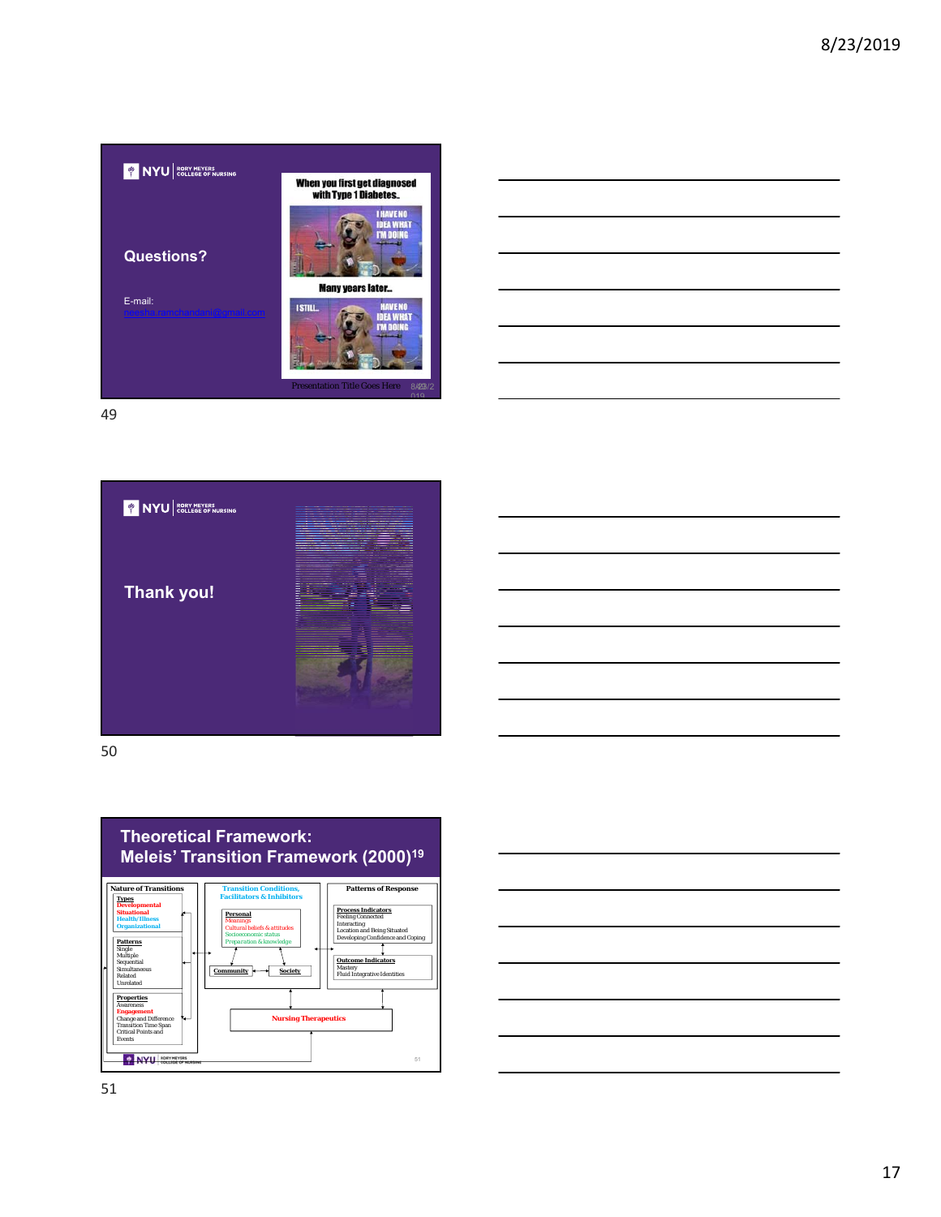







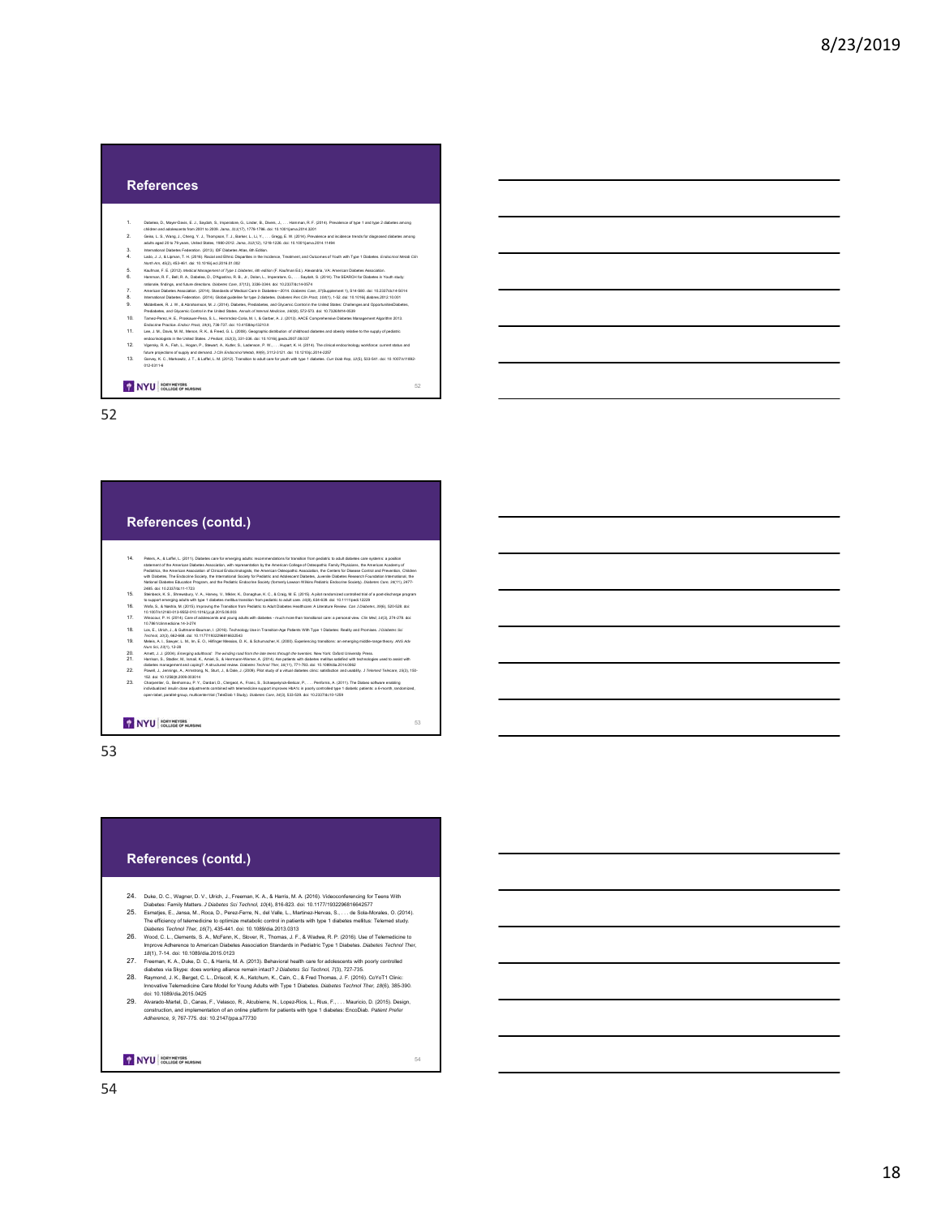#### **References**

- 
- 
- 
- 
- 
- 
- 
- 
- 
- 
- 1.<br>
Dublence, D. Maye Costs, E., 5. phps (m. 2001). Amounts, Q. (m. 2010, M. 2011, M. 2012, The minimals, C. (2015). Providence of the Top Schools and Schools and Schools and Schools and Schools and Schools and Schools an
- 

NYU COLLEGE OF NURSING

52

#### **References (contd.)**

- 14. Peters, A. L. Lathui, L. Colti) Daleks can be semanying alata recommendation for the painting in the painting and the semanting the semanting and the semanting and the semanting and the semanting and the semanting and
- 
- 
- 
- 
- 
- 
- 

#### NYU ROEV MEYERS

53

#### **References (contd.)**

- 
- 
- 
- 
- 
- 24. Duke, D. C., Wagner, D. V., Uirkh, J., Freeman, K. A., & Harris, M. A. (2016). Uisboens, Samply, Maken, S., Jana, M., M., W., J., M., W., M., M., W., M., W., W., W., W., W., W., W., W. (2016). The millions, C. (2014).

NYU BORY MEYERS

54

52